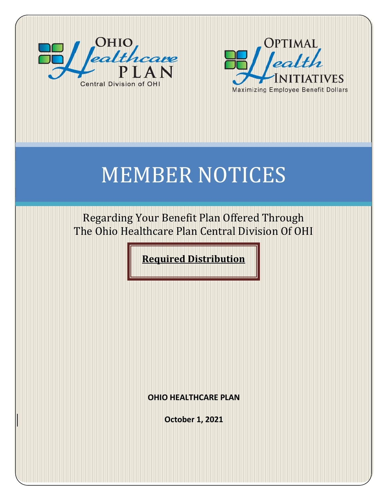



# MEMBER NOTICES

Regarding Your Benefit Plan Offered Through The Ohio Healthcare Plan Central Division Of OHI

**Required Distribution**

**OHIO HEALTHCARE PLAN**

**October 1, 2021**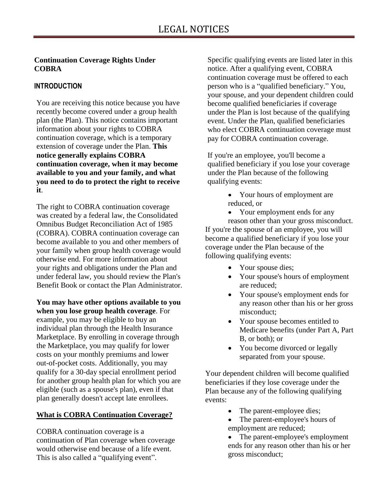#### **Continuation Coverage Rights Under COBRA**

## **INTRODUCTION**

You are receiving this notice because you have recently become covered under a group health plan (the Plan). This notice contains important information about your rights to COBRA continuation coverage, which is a temporary extension of coverage under the Plan. **This notice generally explains COBRA continuation coverage, when it may become available to you and your family, and what you need to do to protect the right to receive it**.

The right to COBRA continuation coverage was created by a federal law, the Consolidated Omnibus Budget Reconciliation Act of 1985 (COBRA). COBRA continuation coverage can become available to you and other members of your family when group health coverage would otherwise end. For more information about your rights and obligations under the Plan and under federal law, you should review the Plan's Benefit Book or contact the Plan Administrator.

**You may have other options available to you when you lose group health coverage**. For example, you may be eligible to buy an individual plan through the Health Insurance Marketplace. By enrolling in coverage through the Marketplace, you may qualify for lower costs on your monthly premiums and lower out-of-pocket costs. Additionally, you may qualify for a 30-day special enrollment period for another group health plan for which you are eligible (such as a spouse's plan), even if that plan generally doesn't accept late enrollees.

### **What is COBRA Continuation Coverage?**

COBRA continuation coverage is a continuation of Plan coverage when coverage would otherwise end because of a life event. This is also called a "qualifying event".

Specific qualifying events are listed later in this notice. After a qualifying event, COBRA continuation coverage must be offered to each person who is a "qualified beneficiary." You, your spouse, and your dependent children could become qualified beneficiaries if coverage under the Plan is lost because of the qualifying event. Under the Plan, qualified beneficiaries who elect COBRA continuation coverage must pay for COBRA continuation coverage.

If you're an employee, you'll become a qualified beneficiary if you lose your coverage under the Plan because of the following qualifying events:

> Your hours of employment are reduced, or

• Your employment ends for any reason other than your gross misconduct. If you're the spouse of an employee, you will become a qualified beneficiary if you lose your coverage under the Plan because of the following qualifying events:

- Your spouse dies;
- Your spouse's hours of employment are reduced;
- Your spouse's employment ends for any reason other than his or her gross misconduct;
- Your spouse becomes entitled to Medicare benefits (under Part A, Part B, or both); or
- You become divorced or legally separated from your spouse.

Your dependent children will become qualified beneficiaries if they lose coverage under the Plan because any of the following qualifying events:

- The parent-employee dies;
- The parent-employee's hours of employment are reduced;

• The parent-employee's employment ends for any reason other than his or her gross misconduct;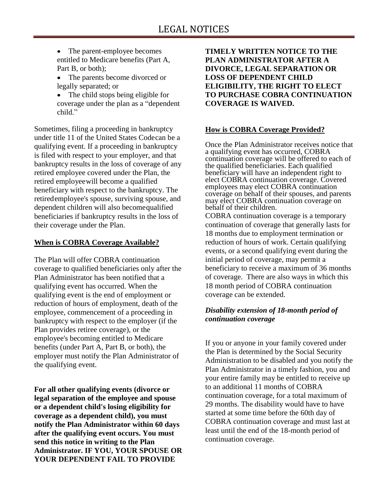- The parent-employee becomes entitled to Medicare benefits (Part A, Part B, or both);
- The parents become divorced or legally separated; or
- The child stops being eligible for coverage under the plan as a "dependent child."

Sometimes, filing a proceeding in bankruptcy under title 11 of the United States Codecan be a qualifying event. If a proceeding in bankruptcy is filed with respect to your employer, and that bankruptcy results in the loss of coverage of any retired employee covered under the Plan, the retired employeewill become a qualified beneficiary with respect to the bankruptcy. The retiredemployee's spouse, surviving spouse, and dependent children will also becomequalified beneficiaries if bankruptcy results in the loss of their coverage under the Plan.

### **When is COBRA Coverage Available?**

The Plan will offer COBRA continuation coverage to qualified beneficiaries only after the Plan Administrator has been notified that a qualifying event has occurred. When the qualifying event is the end of employment or reduction of hours of employment, death of the employee, commencement of a proceeding in bankruptcy with respect to the employer (if the Plan provides retiree coverage), or the employee's becoming entitled to Medicare benefits (under Part A, Part B, or both), the employer must notify the Plan Administrator of the qualifying event.

**For all other qualifying events (divorce or legal separation of the employee and spouse or a dependent child's losing eligibility for coverage as a dependent child), you must notify the Plan Administrator within 60 days after the qualifying event occurs. You must send this notice in writing to the Plan Administrator. IF YOU, YOUR SPOUSE OR YOUR DEPENDENT FAIL TO PROVIDE** 

**TIMELY WRITTEN NOTICE TO THE PLAN ADMINISTRATOR AFTER A DIVORCE, LEGAL SEPARATION OR LOSS OF DEPENDENT CHILD ELIGIBILITY, THE RIGHT TO ELECT TO PURCHASE COBRA CONTINUATION COVERAGE IS WAIVED.**

### **How is COBRA Coverage Provided?**

Once the Plan Administrator receives notice that a qualifying event has occurred, COBRA continuation coverage will be offered to each of the qualified beneficiaries. Each qualified beneficiary will have an independent right to elect COBRA continuation coverage. Covered employees may elect COBRA continuation coverage on behalf of their spouses, and parents may elect COBRA continuation coverage on behalf of their children.

COBRA continuation coverage is a temporary continuation of coverage that generally lasts for 18 months due to employment termination or reduction of hours of work. Certain qualifying events, or a second qualifying event during the initial period of coverage, may permit a beneficiary to receive a maximum of 36 months of coverage. There are also ways in which this 18 month period of COBRA continuation coverage can be extended.

# *Disability extension of 18-month period of continuation coverage*

If you or anyone in your family covered under the Plan is determined by the Social Security Administration to be disabled and you notify the Plan Administrator in a timely fashion, you and your entire family may be entitled to receive up to an additional 11 months of COBRA continuation coverage, for a total maximum of 29 months. The disability would have to have started at some time before the 60th day of COBRA continuation coverage and must last at least until the end of the 18-month period of continuation coverage.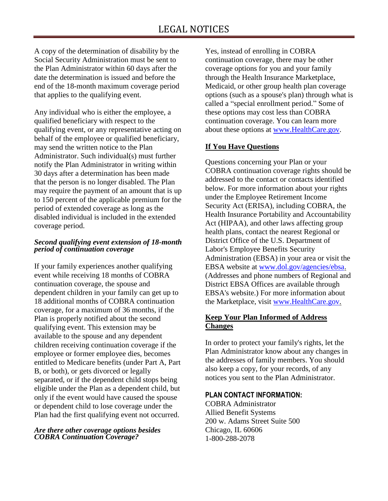A copy of the determination of disability by the Social Security Administration must be sent to the Plan Administrator within 60 days after the date the determination is issued and before the end of the 18-month maximum coverage period that applies to the qualifying event.

Any individual who is either the employee, a qualified beneficiary with respect to the qualifying event, or any representative acting on behalf of the employee or qualified beneficiary, may send the written notice to the Plan Administrator. Such individual(s) must further notify the Plan Administrator in writing within 30 days after a determination has been made that the person is no longer disabled. The Plan may require the payment of an amount that is up to 150 percent of the applicable premium for the period of extended coverage as long as the disabled individual is included in the extended coverage period.

#### *Second qualifying event extension of 18-month period of continuation coverage*

If your family experiences another qualifying event while receiving 18 months of COBRA continuation coverage, the spouse and dependent children in your family can get up to 18 additional months of COBRA continuation coverage, for a maximum of 36 months, if the Plan is properly notified about the second qualifying event. This extension may be available to the spouse and any dependent children receiving continuation coverage if the employee or former employee dies, becomes entitled to Medicare benefits (under Part A, Part B, or both), or gets divorced or legally separated, or if the dependent child stops being eligible under the Plan as a dependent child, but only if the event would have caused the spouse or dependent child to lose coverage under the Plan had the first qualifying event not occurred.

#### *Are there other coverage options besides COBRA Continuation Coverage?*

Yes, instead of enrolling in COBRA continuation coverage, there may be other coverage options for you and your family through the Health Insurance Marketplace, Medicaid, or other group health plan coverage options (such as a spouse's plan) through what is called a "special enrollment period." Some of these options may cost less than COBRA continuation coverage. You can learn more about these options at [www.HealthCare.gov.](http://www.healthcare.gov/)

# **If You Have Questions**

Questions concerning your Plan or your COBRA continuation coverage rights should be addressed to the contact or contacts identified below. For more information about your rights under the Employee Retirement Income Security Act (ERISA), including COBRA, the Health Insurance Portability and Accountability Act (HIPAA), and other laws affecting group health plans, contact the nearest Regional or District Office of the U.S. Department of Labor's Employee Benefits Security Administration (EBSA) in your area or visit the EBSA website at [www.dol.gov/agencies/ebsa.](http://www.dol.gov/agencies/ebsa) (Addresses and phone numbers of Regional and District EBSA Offices are available through EBSA's website.) For more information about the Marketplace, visit [www.HealthCare.gov.](http://www.healthcare.gov/)

#### **Keep Your Plan Informed of Address Changes**

In order to protect your family's rights, let the Plan Administrator know about any changes in the addresses of family members. You should also keep a copy, for your records, of any notices you sent to the Plan Administrator.

#### **PLAN CONTACT INFORMATION:**

COBRA Administrator Allied Benefit Systems 200 w. Adams Street Suite 500 Chicago, IL 60606 1-800-288-2078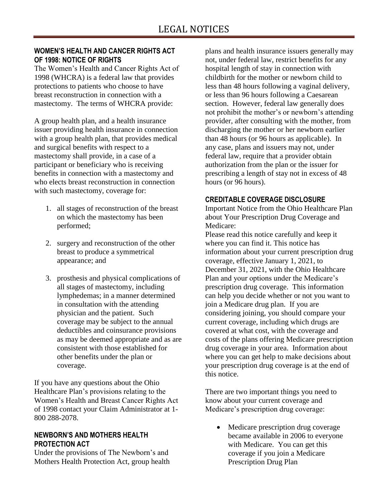#### **WOMEN'S HEALTH AND CANCER RIGHTS ACT OF 1998: NOTICE OF RIGHTS**

The Women's Health and Cancer Rights Act of 1998 (WHCRA) is a federal law that provides protections to patients who choose to have breast reconstruction in connection with a mastectomy. The terms of WHCRA provide:

A group health plan, and a health insurance issuer providing health insurance in connection with a group health plan, that provides medical and surgical benefits with respect to a mastectomy shall provide, in a case of a participant or beneficiary who is receiving benefits in connection with a mastectomy and who elects breast reconstruction in connection with such mastectomy, coverage for:

- 1. all stages of reconstruction of the breast on which the mastectomy has been performed;
- 2. surgery and reconstruction of the other breast to produce a symmetrical appearance; and
- 3. prosthesis and physical complications of all stages of mastectomy, including lymphedemas; in a manner determined in consultation with the attending physician and the patient. Such coverage may be subject to the annual deductibles and coinsurance provisions as may be deemed appropriate and as are consistent with those established for other benefits under the plan or coverage.

If you have any questions about the Ohio Healthcare Plan's provisions relating to the Women's Health and Breast Cancer Rights Act of 1998 contact your Claim Administrator at 1- 800 288-2078.

#### **NEWBORN'S AND MOTHERS HEALTH PROTECTION ACT**

Under the provisions of The Newborn's and Mothers Health Protection Act, group health plans and health insurance issuers generally may not, under federal law, restrict benefits for any hospital length of stay in connection with childbirth for the mother or newborn child to less than 48 hours following a vaginal delivery, or less than 96 hours following a Caesarean section. However, federal law generally does not prohibit the mother's or newborn's attending provider, after consulting with the mother, from discharging the mother or her newborn earlier than 48 hours (or 96 hours as applicable). In any case, plans and issuers may not, under federal law, require that a provider obtain authorization from the plan or the issuer for prescribing a length of stay not in excess of 48 hours (or 96 hours).

#### **CREDITABLE COVERAGE DISCLOSURE**

Important Notice from the Ohio Healthcare Plan about Your Prescription Drug Coverage and Medicare:

Please read this notice carefully and keep it where you can find it. This notice has information about your current prescription drug coverage, effective January 1, 2021, to December 31, 2021, with the Ohio Healthcare Plan and your options under the Medicare's prescription drug coverage. This information can help you decide whether or not you want to join a Medicare drug plan. If you are considering joining, you should compare your current coverage, including which drugs are covered at what cost, with the coverage and costs of the plans offering Medicare prescription drug coverage in your area. Information about where you can get help to make decisions about your prescription drug coverage is at the end of this notice.

There are two important things you need to know about your current coverage and Medicare's prescription drug coverage:

• Medicare prescription drug coverage became available in 2006 to everyone with Medicare. You can get this coverage if you join a Medicare Prescription Drug Plan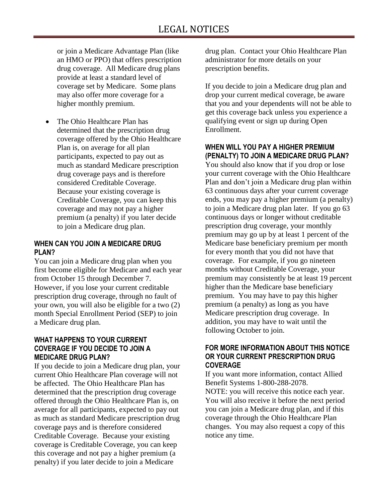or join a Medicare Advantage Plan (like an HMO or PPO) that offers prescription drug coverage. All Medicare drug plans provide at least a standard level of coverage set by Medicare. Some plans may also offer more coverage for a higher monthly premium.

 The Ohio Healthcare Plan has determined that the prescription drug coverage offered by the Ohio Healthcare Plan is, on average for all plan participants, expected to pay out as much as standard Medicare prescription drug coverage pays and is therefore considered Creditable Coverage. Because your existing coverage is Creditable Coverage, you can keep this coverage and may not pay a higher premium (a penalty) if you later decide to join a Medicare drug plan.

#### **WHEN CAN YOU JOIN A MEDICARE DRUG PLAN?**

You can join a Medicare drug plan when you first become eligible for Medicare and each year from October 15 through December 7. However, if you lose your current creditable prescription drug coverage, through no fault of your own, you will also be eligible for a two (2) month Special Enrollment Period (SEP) to join a Medicare drug plan.

#### **WHAT HAPPENS TO YOUR CURRENT COVERAGE IF YOU DECIDE TO JOIN A MEDICARE DRUG PLAN?**

If you decide to join a Medicare drug plan, your current Ohio Healthcare Plan coverage will not be affected. The Ohio Healthcare Plan has determined that the prescription drug coverage offered through the Ohio Healthcare Plan is, on average for all participants, expected to pay out as much as standard Medicare prescription drug coverage pays and is therefore considered Creditable Coverage. Because your existing coverage is Creditable Coverage, you can keep this coverage and not pay a higher premium (a penalty) if you later decide to join a Medicare

drug plan. Contact your Ohio Healthcare Plan administrator for more details on your prescription benefits.

If you decide to join a Medicare drug plan and drop your current medical coverage, be aware that you and your dependents will not be able to get this coverage back unless you experience a qualifying event or sign up during Open Enrollment.

### **WHEN WILL YOU PAY A HIGHER PREMIUM (PENALTY) TO JOIN A MEDICARE DRUG PLAN?**

You should also know that if you drop or lose your current coverage with the Ohio Healthcare Plan and don't join a Medicare drug plan within 63 continuous days after your current coverage ends, you may pay a higher premium (a penalty) to join a Medicare drug plan later. If you go 63 continuous days or longer without creditable prescription drug coverage, your monthly premium may go up by at least 1 percent of the Medicare base beneficiary premium per month for every month that you did not have that coverage. For example, if you go nineteen months without Creditable Coverage, your premium may consistently be at least 19 percent higher than the Medicare base beneficiary premium. You may have to pay this higher premium (a penalty) as long as you have Medicare prescription drug coverage. In addition, you may have to wait until the following October to join.

#### **FOR MORE INFORMATION ABOUT THIS NOTICE OR YOUR CURRENT PRESCRIPTION DRUG COVERAGE**

If you want more information, contact Allied Benefit Systems 1-800-288-2078.

NOTE: you will receive this notice each year. You will also receive it before the next period you can join a Medicare drug plan, and if this coverage through the Ohio Healthcare Plan changes. You may also request a copy of this notice any time.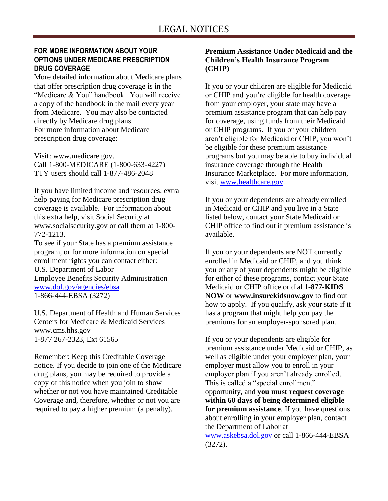#### **FOR MORE INFORMATION ABOUT YOUR OPTIONS UNDER MEDICARE PRESCRIPTION DRUG COVERAGE**

More detailed information about Medicare plans that offer prescription drug coverage is in the "Medicare & You" handbook. You will receive a copy of the handbook in the mail every year from Medicare. You may also be contacted directly by Medicare drug plans. For more information about Medicare prescription drug coverage:

Visit: www.medicare.gov. Call 1-800-MEDICARE (1-800-633-4227) TTY users should call 1-877-486-2048

If you have limited income and resources, extra help paying for Medicare prescription drug coverage is available. For information about this extra help, visit Social Security at www.socialsecurity.gov or call them at 1-800- 772-1213.

To see if your State has a premium assistance program, or for more information on special enrollment rights you can contact either: U.S. Department of Labor Employee Benefits Security Administration [www.dol.gov/agencies/ebsa](http://www.dol.gov/agencies/ebsa) 1-866-444-EBSA (3272)

U.S. Department of Health and Human Services Centers for Medicare & Medicaid Services [www.cms.hhs.gov](http://www.cms.hhs.gov/) 1-877 267-2323, Ext 61565

Remember: Keep this Creditable Coverage notice. If you decide to join one of the Medicare drug plans, you may be required to provide a copy of this notice when you join to show whether or not you have maintained Creditable Coverage and, therefore, whether or not you are required to pay a higher premium (a penalty).

#### **Premium Assistance Under Medicaid and the Children's Health Insurance Program (CHIP)**

If you or your children are eligible for Medicaid or CHIP and you're eligible for health coverage from your employer, your state may have a premium assistance program that can help pay for coverage, using funds from their Medicaid or CHIP programs. If you or your children aren't eligible for Medicaid or CHIP, you won't be eligible for these premium assistance programs but you may be able to buy individual insurance coverage through the Health Insurance Marketplace. For more information, visit [www.healthcare.gov.](http://www.healthcare.gov/)

If you or your dependents are already enrolled in Medicaid or CHIP and you live in a State listed below, contact your State Medicaid or CHIP office to find out if premium assistance is available.

If you or your dependents are NOT currently enrolled in Medicaid or CHIP, and you think you or any of your dependents might be eligible for either of these programs, contact your State Medicaid or CHIP office or dial **1-877-KIDS NOW** or **www.insurekidsnow.gov** to find out how to apply. If you qualify, ask your state if it has a program that might help you pay the premiums for an employer-sponsored plan.

If you or your dependents are eligible for premium assistance under Medicaid or CHIP, as well as eligible under your employer plan, your employer must allow you to enroll in your employer plan if you aren't already enrolled. This is called a "special enrollment" opportunity, and **you must request coverage within 60 days of being determined eligible for premium assistance**. If you have questions about enrolling in your employer plan, contact the Department of Labor at [www.askebsa.dol.gov](http://www.askebsa.dol.gov/) or call 1-866-444-EBSA (3272).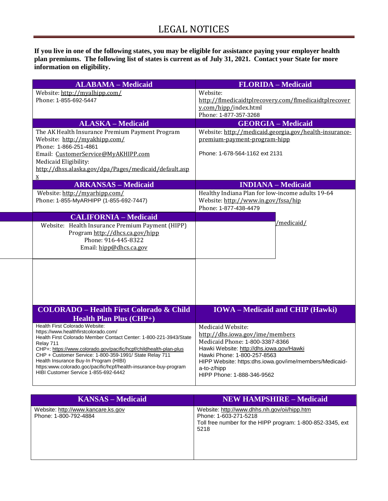**If you live in one of the following states, you may be eligible for assistance paying your employer health plan premiums. The following list of states is current as of July 31, 2021. Contact your State for more information on eligibility.**

| <b>ALABAMA - Medicaid</b>                                                                                                                                                                                                                                                                                                                                                                                                                      | <b>FLORIDA</b> - Medicaid                                                                                                                                                                                                                                                 |
|------------------------------------------------------------------------------------------------------------------------------------------------------------------------------------------------------------------------------------------------------------------------------------------------------------------------------------------------------------------------------------------------------------------------------------------------|---------------------------------------------------------------------------------------------------------------------------------------------------------------------------------------------------------------------------------------------------------------------------|
| Website: http://myalhipp.com/<br>Phone: 1-855-692-5447                                                                                                                                                                                                                                                                                                                                                                                         | Website:<br>http://flmedicaidtplrecovery.com/flmedicaidtplrecover<br>y.com/hipp/index.html<br>Phone: 1-877-357-3268                                                                                                                                                       |
| <b>ALASKA - Medicaid</b>                                                                                                                                                                                                                                                                                                                                                                                                                       | <b>GEORGIA - Medicaid</b>                                                                                                                                                                                                                                                 |
| The AK Health Insurance Premium Payment Program<br>Website: http://myakhipp.com/<br>Phone: 1-866-251-4861<br>Email: CustomerService@MyAKHIPP.com<br>Medicaid Eligibility:<br>http://dhss.alaska.gov/dpa/Pages/medicaid/default.asp<br>$\mathbf{X}$                                                                                                                                                                                             | Website: http://medicaid.georgia.gov/health-insurance-<br>premium-payment-program-hipp<br>Phone: 1-678-564-1162 ext 2131                                                                                                                                                  |
| <b>ARKANSAS - Medicaid</b>                                                                                                                                                                                                                                                                                                                                                                                                                     | <b>INDIANA</b> – Medicaid                                                                                                                                                                                                                                                 |
| Website: http://myarhipp.com/<br>Phone: 1-855-MyARHIPP (1-855-692-7447)                                                                                                                                                                                                                                                                                                                                                                        | Healthy Indiana Plan for low-income adults 19-64<br>Website: http://www.in.gov/fssa/hip<br>Phone: 1-877-438-4479                                                                                                                                                          |
| <b>CALIFORNIA - Medicaid</b>                                                                                                                                                                                                                                                                                                                                                                                                                   |                                                                                                                                                                                                                                                                           |
| Website: Health Insurance Premium Payment (HIPP)<br>Program http://dhcs.ca.gov/hipp<br>Phone: 916-445-8322<br>Email: hipp@dhcs.ca.gov                                                                                                                                                                                                                                                                                                          | /medicaid/                                                                                                                                                                                                                                                                |
| <b>COLORADO - Health First Colorado &amp; Child</b>                                                                                                                                                                                                                                                                                                                                                                                            | <b>IOWA</b> – Medicaid and CHIP (Hawki)                                                                                                                                                                                                                                   |
| <b>Health Plan Plus (CHP+)</b>                                                                                                                                                                                                                                                                                                                                                                                                                 |                                                                                                                                                                                                                                                                           |
| Health First Colorado Website:<br>https://www.healthfirstcolorado.com/<br>Health First Colorado Member Contact Center: 1-800-221-3943/State<br>Relay 711<br>CHP+: https://www.colorado.gov/pacific/hcpf/childhealth-plan-plus<br>CHP + Customer Service: 1-800-359-1991/ State Relay 711<br>Health Insurance Buy-In Program (HIBI)<br>https:www.colorado.goc/pacific/hcpf/health-insurance-buy-program<br>HIBI Customer Service 1-855-692-6442 | Medicaid Website:<br>http://dhs.iowa.gov/ime/members<br>Medicaid Phone: 1-800-3387-8366<br>Hawki Website: http://dhs.iowa.gov/Hawki<br>Hawki Phone: 1-800-257-8563<br>HIPP Website: https:dhs.iowa.gov/ime/members/Medicaid-<br>a-to-z/hipp<br>HIPP Phone: 1-888-346-9562 |

| <b>KANSAS – Medicaid</b>                                    | <b>NEW HAMPSHIRE - Medicaid</b>                                                                                                             |
|-------------------------------------------------------------|---------------------------------------------------------------------------------------------------------------------------------------------|
| Website: http://www.kancare.ks.gov<br>Phone: 1-800-792-4884 | Website: http://www.dhhs.nh.gov/oii/hipp.htm<br>Phone: 1-603-271-5218<br>Toll free number for the HIPP program: 1-800-852-3345, ext<br>5218 |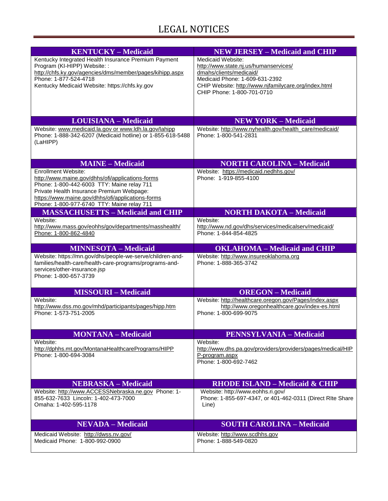# LEGAL NOTICES

| <b>KENTUCKY - Medicaid</b>                                                                     | <b>NEW JERSEY - Medicaid and CHIP</b>                                         |
|------------------------------------------------------------------------------------------------|-------------------------------------------------------------------------------|
| Kentucky Integrated Health Insurance Premium Payment                                           | Medicaid Website:                                                             |
| Program (KI-HIPP) Website: :                                                                   | http://www.state.nj.us/humanservices/                                         |
| http://chfs.ky.gov/agencies/dms/member/pages/kihipp.aspx<br>Phone: 1-877-524-4718              | dmahs/clients/medicaid/<br>Medicaid Phone: 1-609-631-2392                     |
| Kentucky Medicaid Website: https://chfs.ky.gov                                                 | CHIP Website: http://www.njfamilycare.org/index.html                          |
|                                                                                                | CHIP Phone: 1-800-701-0710                                                    |
|                                                                                                |                                                                               |
|                                                                                                |                                                                               |
| <b>LOUISIANA - Medicaid</b>                                                                    | <b>NEW YORK - Medicaid</b>                                                    |
| Website: www.medicaid.la.gov or www.ldh.la.gov/lahipp                                          | Website: http://www.nyhealth.gov/health_care/medicaid/                        |
| Phone: 1-888-342-6207 (Medicaid hotline) or 1-855-618-5488                                     | Phone: 1-800-541-2831                                                         |
| (LaHIPP)                                                                                       |                                                                               |
|                                                                                                |                                                                               |
| <b>MAINE - Medicaid</b>                                                                        | <b>NORTH CAROLINA - Medicaid</b>                                              |
| Enrollment Website:                                                                            | Website: https://medicaid.nedhhs.gov/                                         |
| http://www.maine.gov/dhhs/ofi/applications-forms                                               | Phone: 1-919-855-4100                                                         |
| Phone: 1-800-442-6003 TTY: Maine relay 711                                                     |                                                                               |
| Private Health Insurance Premium Webpage:<br>https://www.maine.gov/dhhs/ofi/applications-forms |                                                                               |
| Phone: 1-800-977-6740 TTY: Maine relay 711                                                     |                                                                               |
| <b>MASSACHUSETTS - Medicaid and CHIP</b>                                                       | <b>NORTH DAKOTA - Medicaid</b>                                                |
| Website:                                                                                       | Website:                                                                      |
| http://www.mass.gov/eohhs/gov/departments/masshealth/                                          | http://www.nd.gov/dhs/services/medicalserv/medicaid/                          |
| Phone: 1-800-862-4840                                                                          | Phone: 1-844-854-4825                                                         |
| <b>MINNESOTA - Medicaid</b>                                                                    | <b>OKLAHOMA - Medicaid and CHIP</b>                                           |
| Website: https://mn.gov/dhs/people-we-serve/children-and-                                      | Website: http://www.insureoklahoma.org                                        |
| families/health-care/health-care-programs/programs-and-                                        | Phone: 1-888-365-3742                                                         |
| services/other-insurance.jsp<br>Phone: 1-800-657-3739                                          |                                                                               |
|                                                                                                |                                                                               |
| <b>MISSOURI-Medicaid</b>                                                                       | <b>OREGON</b> – Medicaid                                                      |
| Website:                                                                                       | Website: http://healthcare.oregon.gov/Pages/index.aspx                        |
| http://www.dss.mo.gov/mhd/participants/pages/hipp.htm<br>Phone: 1-573-751-2005                 | http://www.oregonhealthcare.gov/index-es.html<br>Phone: 1-800-699-9075        |
|                                                                                                |                                                                               |
|                                                                                                |                                                                               |
| <b>MONTANA - Medicaid</b>                                                                      | <b>PENNSYLVANIA - Medicaid</b>                                                |
| Website:                                                                                       | Website:                                                                      |
| http://dphhs.mt.gov/MontanaHealthcarePrograms/HIPP<br>Phone: 1-800-694-3084                    | http://www.dhs.pa.gov/providers/providers/pages/medical/HIP<br>P-program.aspx |
|                                                                                                | Phone: 1-800-692-7462                                                         |
|                                                                                                |                                                                               |
| <b>NEBRASKA – Medicaid</b>                                                                     | <b>RHODE ISLAND - Medicaid &amp; CHIP</b>                                     |
| Website: http://www.ACCESSNebraska.ne.gov Phone: 1-                                            | Website: http://www.eohhs.ri.gov/                                             |
| 855-632-7633 Lincoln: 1-402-473-7000                                                           | Phone: 1-855-697-4347, or 401-462-0311 (Direct RIte Share                     |
| Omaha: 1-402-595-1178                                                                          | Line)                                                                         |
|                                                                                                |                                                                               |
| <b>NEVADA</b> – Medicaid                                                                       | <b>SOUTH CAROLINA - Medicaid</b>                                              |
| Medicaid Website: http://dwss.nv.gov/                                                          | Website: http://www.scdhhs.gov                                                |
| Medicaid Phone: 1-800-992-0900                                                                 | Phone: 1-888-549-0820                                                         |
|                                                                                                |                                                                               |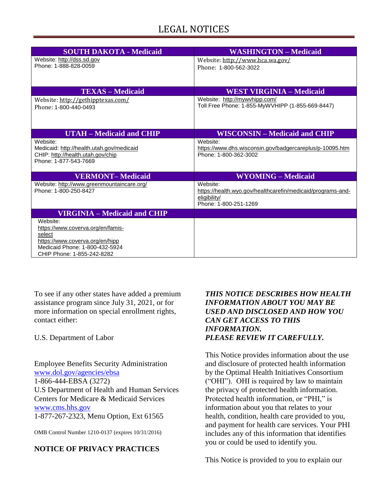# LEGAL NOTICES

| <b>SOUTH DAKOTA - Medicaid</b>                                                                                                                             | <b>WASHINGTON - Medicaid</b>                                                                                     |
|------------------------------------------------------------------------------------------------------------------------------------------------------------|------------------------------------------------------------------------------------------------------------------|
| Website: http://dss.sd.gov<br>Phone: 1-888-828-0059                                                                                                        | Website: http://www.hca.wa.gov/<br>Phone: 1-800-562-3022                                                         |
|                                                                                                                                                            |                                                                                                                  |
| <b>TEXAS – Medicaid</b>                                                                                                                                    | <b>WEST VIRGINIA – Medicaid</b>                                                                                  |
| Website: http://gethipptexas.com/<br>Phone: 1-800-440-0493                                                                                                 | Website: http://mywvhipp.com/<br>Toll Free Phone: 1-855-MyWVHIPP (1-855-669-8447)                                |
| <b>UTAH – Medicaid and CHIP</b>                                                                                                                            | <b>WISCONSIN – Medicaid and CHIP</b>                                                                             |
| Website:<br>Medicaid: http://health.utah.gov/medicaid<br>CHIP: http://health.utah.gov/chip<br>Phone: 1-877-543-7669                                        | Website:<br>https://www.dhs.wisconsin.gov/badgercareplus/p-10095.htm<br>Phone: 1-800-362-3002                    |
| <b>VERMONT-Medicaid</b>                                                                                                                                    | <b>WYOMING - Medicaid</b>                                                                                        |
| Website: http://www.greenmountaincare.org/<br>Phone: 1-800-250-8427                                                                                        | Website:<br>https://health.wyo.gov/healthcarefin/medicaid/programs-and-<br>eligibility/<br>Phone: 1-800-251-1269 |
| <b>VIRGINIA – Medicaid and CHIP</b>                                                                                                                        |                                                                                                                  |
| Website:<br>https://www.coverva.org/en/famis-<br>select<br>https://www.coverva.org/en/hipp<br>Medicaid Phone: 1-800-432-5924<br>CHIP Phone: 1-855-242-8282 |                                                                                                                  |

To see if any other states have added a premium assistance program since July 31, 2021, or for more information on special enrollment rights, contact either:

U.S. Department of Labor

Employee Benefits Security Administration [www.dol.gov/agencies/ebsa](http://www.dol.gov/agencies/ebsa) 1-866-444-EBSA (3272) U.S Department of Health and Human Services Centers for Medicare & Medicaid Services [www.cms.hhs.gov](http://www.cms.hhs.gov/) 1-877-267-2323, Menu Option, Ext 61565

OMB Control Number 1210-0137 (expires 10/31/2016)

#### **NOTICE OF PRIVACY PRACTICES**

#### *THIS NOTICE DESCRIBES HOW HEALTH INFORMATION ABOUT YOU MAY BE USED AND DISCLOSED AND HOW YOU CAN GET ACCESS TO THIS INFORMATION. PLEASE REVIEW IT CAREFULLY.*

This Notice provides information about the use and disclosure of protected health information by the Optimal Health Initiatives Consortium ("OHI"). OHI is required by law to maintain the privacy of protected health information. Protected health information, or "PHI," is information about you that relates to your health, condition, health care provided to you, and payment for health care services. Your PHI includes any of this information that identifies you or could be used to identify you.

This Notice is provided to you to explain our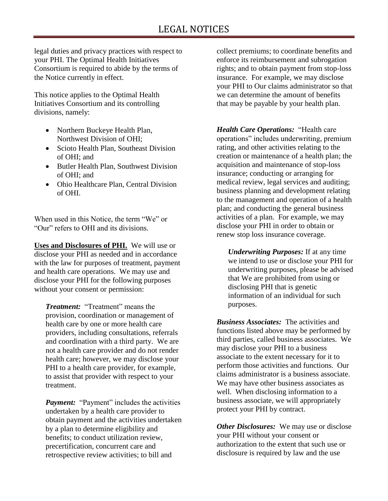legal duties and privacy practices with respect to your PHI. The Optimal Health Initiatives Consortium is required to abide by the terms of the Notice currently in effect.

This notice applies to the Optimal Health Initiatives Consortium and its controlling divisions, namely:

- Northern Buckeye Health Plan, Northwest Division of OHI;
- Scioto Health Plan, Southeast Division of OHI; and
- Butler Health Plan, Southwest Division of OHI; and
- Ohio Healthcare Plan, Central Division of OHI.

When used in this Notice, the term "We" or "Our" refers to OHI and its divisions.

**Uses and Disclosures of PHI.** We will use or disclose your PHI as needed and in accordance with the law for purposes of treatment, payment and health care operations. We may use and disclose your PHI for the following purposes without your consent or permission:

*Treatment:* "Treatment" means the provision, coordination or management of health care by one or more health care providers, including consultations, referrals and coordination with a third party. We are not a health care provider and do not render health care; however, we may disclose your PHI to a health care provider, for example, to assist that provider with respect to your treatment.

*Payment:* "Payment" includes the activities undertaken by a health care provider to obtain payment and the activities undertaken by a plan to determine eligibility and benefits; to conduct utilization review, precertification, concurrent care and retrospective review activities; to bill and

collect premiums; to coordinate benefits and enforce its reimbursement and subrogation rights; and to obtain payment from stop-loss insurance. For example, we may disclose your PHI to Our claims administrator so that we can determine the amount of benefits that may be payable by your health plan.

*Health Care Operations:* "Health care operations" includes underwriting, premium rating, and other activities relating to the creation or maintenance of a health plan; the acquisition and maintenance of stop-loss insurance; conducting or arranging for medical review, legal services and auditing; business planning and development relating to the management and operation of a health plan; and conducting the general business activities of a plan. For example, we may disclose your PHI in order to obtain or renew stop loss insurance coverage.

*Underwriting Purposes:* If at any time we intend to use or disclose your PHI for underwriting purposes, please be advised that We are prohibited from using or disclosing PHI that is genetic information of an individual for such purposes.

*Business Associates:* The activities and functions listed above may be performed by third parties, called business associates. We may disclose your PHI to a business associate to the extent necessary for it to perform those activities and functions. Our claims administrator is a business associate. We may have other business associates as well. When disclosing information to a business associate, we will appropriately protect your PHI by contract.

*Other Disclosures:* We may use or disclose your PHI without your consent or authorization to the extent that such use or disclosure is required by law and the use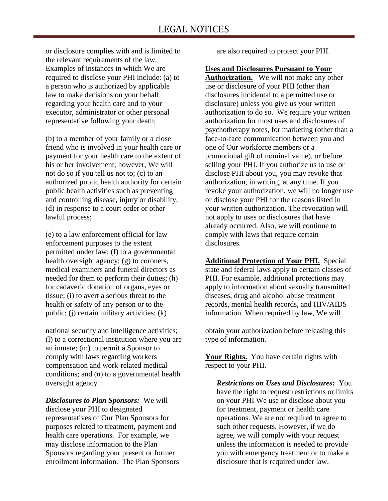or disclosure complies with and is limited to the relevant requirements of the law. Examples of instances in which We are required to disclose your PHI include: (a) to a person who is authorized by applicable law to make decisions on your behalf regarding your health care and to your executor, administrator or other personal representative following your death;

(b) to a member of your family or a close friend who is involved in your health care or payment for your health care to the extent of his or her involvement; however, We will not do so if you tell us not to; (c) to an authorized public health authority for certain public health activities such as preventing and controlling disease, injury or disability; (d) in response to a court order or other lawful process;

(e) to a law enforcement official for law enforcement purposes to the extent permitted under law; (f) to a governmental health oversight agency; (g) to coroners, medical examiners and funeral directors as needed for them to perform their duties; (h) for cadaveric donation of organs, eyes or tissue; (i) to avert a serious threat to the health or safety of any person or to the public; (j) certain military activities; (k)

national security and intelligence activities; (l) to a correctional institution where you are an inmate; (m) to permit a Sponsor to comply with laws regarding workers compensation and work-related medical conditions; and (n) to a governmental health oversight agency.

*Disclosures to Plan Sponsors:* We will disclose your PHI to designated representatives of Our Plan Sponsors for purposes related to treatment, payment and health care operations. For example, we may disclose information to the Plan Sponsors regarding your present or former enrollment information. The Plan Sponsors are also required to protect your PHI.

#### **Uses and Disclosures Pursuant to Your**

**Authorization.** We will not make any other use or disclosure of your PHI (other than disclosures incidental to a permitted use or disclosure) unless you give us your written authorization to do so. We require your written authorization for most uses and disclosures of psychotherapy notes, for marketing (other than a face-to-face communication between you and one of Our workforce members or a promotional gift of nominal value), or before selling your PHI. If you authorize us to use or disclose PHI about you, you may revoke that authorization, in writing, at any time. If you revoke your authorization, we will no longer use or disclose your PHI for the reasons listed in your written authorization. The revocation will not apply to uses or disclosures that have already occurred. Also, we will continue to comply with laws that require certain disclosures.

**Additional Protection of Your PHI.** Special state and federal laws apply to certain classes of PHI. For example, additional protections may apply to information about sexually transmitted diseases, drug and alcohol abuse treatment records, mental health records, and HIV/AIDS information. When required by law, We will

obtain your authorization before releasing this type of information.

Your Rights. You have certain rights with respect to your PHI.

*Restrictions on Uses and Disclosures:* You have the right to request restrictions or limits on your PHI We use or disclose about you for treatment, payment or health care operations. We are not required to agree to such other requests. However, if we do agree, we will comply with your request unless the information is needed to provide you with emergency treatment or to make a disclosure that is required under law.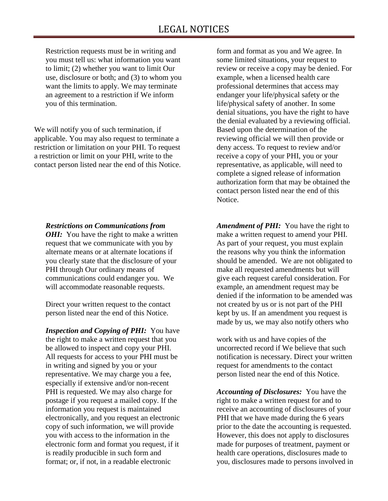Restriction requests must be in writing and you must tell us: what information you want to limit; (2) whether you want to limit Our use, disclosure or both; and (3) to whom you want the limits to apply. We may terminate an agreement to a restriction if We inform you of this termination.

We will notify you of such termination, if applicable. You may also request to terminate a restriction or limitation on your PHI. To request a restriction or limit on your PHI, write to the contact person listed near the end of this Notice.

#### *Restrictions on Communications from*

*OHI:* You have the right to make a written request that we communicate with you by alternate means or at alternate locations if you clearly state that the disclosure of your PHI through Our ordinary means of communications could endanger you. We will accommodate reasonable requests.

Direct your written request to the contact person listed near the end of this Notice.

*Inspection and Copying of PHI:* You have the right to make a written request that you be allowed to inspect and copy your PHI. All requests for access to your PHI must be in writing and signed by you or your representative. We may charge you a fee, especially if extensive and/or non-recent PHI is requested. We may also charge for postage if you request a mailed copy. If the information you request is maintained electronically, and you request an electronic copy of such information, we will provide you with access to the information in the electronic form and format you request, if it is readily producible in such form and format; or, if not, in a readable electronic

form and format as you and We agree. In some limited situations, your request to review or receive a copy may be denied. For example, when a licensed health care professional determines that access may endanger your life/physical safety or the life/physical safety of another. In some denial situations, you have the right to have the denial evaluated by a reviewing official. Based upon the determination of the reviewing official we will then provide or deny access. To request to review and/or receive a copy of your PHI, you or your representative, as applicable, will need to complete a signed release of information authorization form that may be obtained the contact person listed near the end of this Notice.

*Amendment of PHI:* You have the right to make a written request to amend your PHI. As part of your request, you must explain the reasons why you think the information should be amended. We are not obligated to make all requested amendments but will give each request careful consideration. For example, an amendment request may be denied if the information to be amended was not created by us or is not part of the PHI kept by us. If an amendment you request is made by us, we may also notify others who

work with us and have copies of the uncorrected record if We believe that such notification is necessary. Direct your written request for amendments to the contact person listed near the end of this Notice.

*Accounting of Disclosures:* You have the right to make a written request for and to receive an accounting of disclosures of your PHI that we have made during the 6 years prior to the date the accounting is requested. However, this does not apply to disclosures made for purposes of treatment, payment or health care operations, disclosures made to you, disclosures made to persons involved in